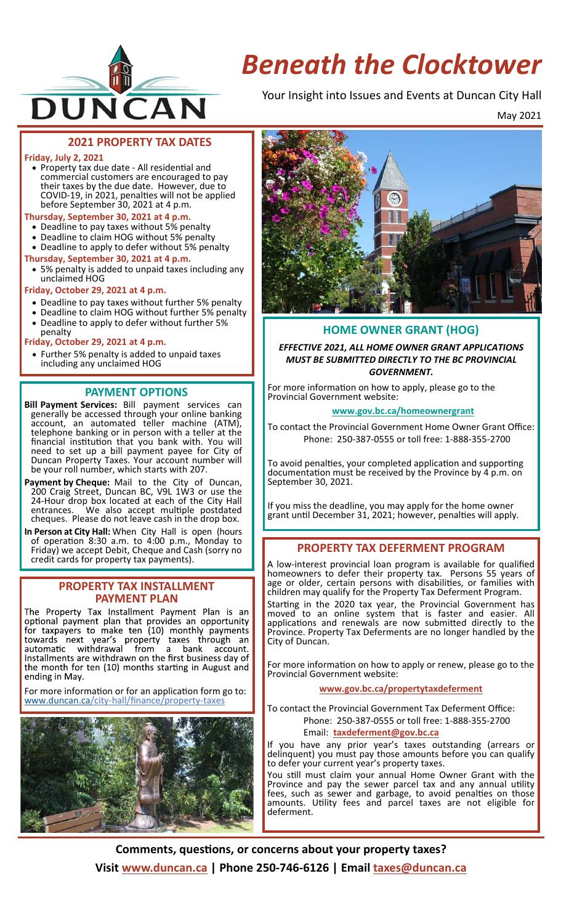

# *Beneath the Clocktower*

Your Insight into Issues and Events at Duncan City Hall

May 2021

## **2021 PROPERTY TAX DATES**

#### **Friday, July 2, 2021**

• Property tax due date - All residential and commercial customers are encouraged to pay their taxes by the due date. However, due to COVID‐19, in 2021, penalƟes will not be applied before September 30, 2021 at 4 p.m.

### **Thursday, September 30, 2021 at 4 p.m.**

- Deadline to pay taxes without 5% penalty
- Deadline to claim HOG without 5% penalty
- Deadline to apply to defer without 5% penalty
- **Thursday, September 30, 2021 at 4 p.m.**
- 5% penalty is added to unpaid taxes including any unclaimed HOG

**Friday, October 29, 2021 at 4 p.m.** 

- Deadline to pay taxes without further 5% penalty
- Deadline to claim HOG without further 5% penalty
- Deadline to apply to defer without further 5%

#### penalty **Friday, October 29, 2021 at 4 p.m.**

 Further 5% penalty is added to unpaid taxes including any unclaimed HOG

## **PAYMENT OPTIONS**

- **Bill Payment Services:** Bill payment services can generally be accessed through your online banking account, an automated teller machine (ATM), telephone banking or in person with a teller at the financial institution that you bank with. You will need to set up a bill payment payee for City of Duncan Property Taxes. Your account number will be your roll number, which starts with 207.
- **Payment by Cheque:** Mail to the City of Duncan, 200 Craig Street, Duncan BC, V9L 1W3 or use the 24‐Hour drop box located at each of the City Hall entrances. We also accept multiple postdated entrances. We also accept multiple postdated cheques. Please do not leave cash in the drop box.

**In Person at City Hall:** When City Hall is open (hours of operaƟon 8:30 a.m. to 4:00 p.m., Monday to Friday) we accept Debit, Cheque and Cash (sorry no credit cards for property tax payments).

#### **PROPERTY TAX INSTALLMENT PAYMENT PLAN**

The Property Tax Installment Payment Plan is an optional payment plan that provides an opportunity for taxpayers to make ten (10) monthly payments towards next year's property taxes through an<br>automatic withdrawal from a bank account. automatic withdrawal from a bank account.<br>Installments are withdrawn on the first business day of the month for ten (10) months starting in August and ending in May.

For more information or for an application form go to: www.duncan.ca/city‐hall/finance/property‐taxes





## **HOME OWNER GRANT (HOG)**

*EFFECTIVE 2021, ALL HOME OWNER GRANT APPLICATIONS MUST BE SUBMITTED DIRECTLY TO THE BC PROVINCIAL GOVERNMENT.* 

For more information on how to apply, please go to the Provincial Government website:

#### **www.gov.bc.ca/homeownergrant**

To contact the Provincial Government Home Owner Grant Office: Phone: 250‐387‐0555 or toll free: 1‐888‐355‐2700

To avoid penalties, your completed application and supporting documentation must be received by the Province by 4 p.m. on September 30, 2021.

If you miss the deadline, you may apply for the home owner grant unƟl December 31, 2021; however, penalƟes will apply.

## **PROPERTY TAX DEFERMENT PROGRAM**

A low‐interest provincial loan program is available for qualified homeowners to defer their property tax. Persons 55 years of age or older, certain persons with disabilities, or families with children may qualify for the Property Tax Deferment Program.

Starting in the 2020 tax year, the Provincial Government has moved to an online system that is faster and easier. All applications and renewals are now submitted directly to the Province. Property Tax Deferments are no longer handled by the City of Duncan.

For more information on how to apply or renew, please go to the Provincial Government website:

#### **www.gov.bc.ca/propertytaxdeferment**

To contact the Provincial Government Tax Deferment Office: Phone: 250‐387‐0555 or toll free: 1‐888‐355‐2700

#### Email: **taxdeferment@gov.bc.ca**

If you have any prior year's taxes outstanding (arrears or delinquent) you must pay those amounts before you can qualify to defer your current year's property taxes.

You still must claim your annual Home Owner Grant with the Province and pay the sewer parcel tax and any annual utility fees, such as sewer and garbage, to avoid penalties on those amounts. Utility fees and parcel taxes are not eligible for deferment.

Comments, questions, or concerns about your property taxes? **Visit www.duncan.ca | Phone 250‐746‐6126 | Email taxes@duncan.ca**